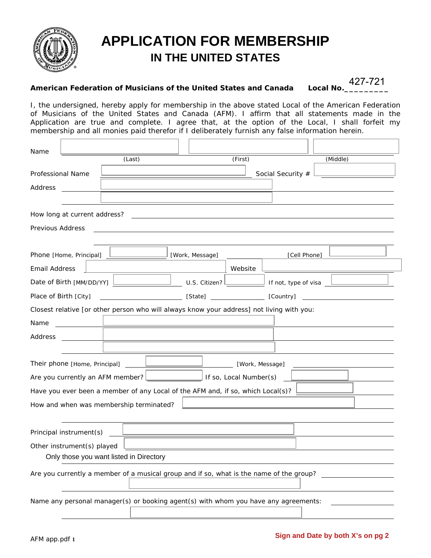

## **APPLICATION FOR MEMBERSHIP IN THE UNITED STATES**

## **American Federation of Musicians of the United States and Canada Local No.\_\_\_\_\_\_\_\_\_**

427-721

I, the undersigned, hereby apply for membership in the above stated Local of the American Federation of Musicians of the United States and Canada (AFM). I affirm that all statements made in the Application are true and complete. I agree that, at the option of the Local, I shall forfeit my membership and all monies paid therefor if I deliberately furnish any false information herein.

| Name                                                                                                                                                 |                            |                                                                                           |                 |                   |                        |                      |          |  |  |  |  |
|------------------------------------------------------------------------------------------------------------------------------------------------------|----------------------------|-------------------------------------------------------------------------------------------|-----------------|-------------------|------------------------|----------------------|----------|--|--|--|--|
|                                                                                                                                                      |                            | (Last)                                                                                    |                 |                   | (First)                |                      | (Middle) |  |  |  |  |
| Professional Name                                                                                                                                    |                            |                                                                                           |                 |                   |                        | Social Security #    |          |  |  |  |  |
| Address                                                                                                                                              |                            |                                                                                           |                 |                   |                        |                      |          |  |  |  |  |
|                                                                                                                                                      |                            |                                                                                           |                 |                   |                        |                      |          |  |  |  |  |
| How long at current address?<br><u> 1989 - Johann Stein, mars an deutscher Stein und der Stein und der Stein und der Stein und der Stein und der</u> |                            |                                                                                           |                 |                   |                        |                      |          |  |  |  |  |
| Previous Address                                                                                                                                     |                            |                                                                                           |                 |                   |                        |                      |          |  |  |  |  |
|                                                                                                                                                      |                            |                                                                                           |                 |                   |                        |                      |          |  |  |  |  |
|                                                                                                                                                      | Phone [Home, Principal]    |                                                                                           | [Work, Message] |                   |                        | [Cell Phone]         |          |  |  |  |  |
| <b>Email Address</b>                                                                                                                                 |                            |                                                                                           |                 |                   | Website                |                      |          |  |  |  |  |
|                                                                                                                                                      | Date of Birth [MM/DD/YY]   |                                                                                           |                 | U.S. Citizen? $L$ |                        | If not, type of visa |          |  |  |  |  |
|                                                                                                                                                      | Place of Birth [City]      |                                                                                           |                 |                   |                        |                      |          |  |  |  |  |
|                                                                                                                                                      |                            | Closest relative [or other person who will always know your address] not living with you: |                 |                   |                        |                      |          |  |  |  |  |
| Name                                                                                                                                                 |                            |                                                                                           |                 |                   |                        |                      |          |  |  |  |  |
| Address                                                                                                                                              | <b>Contract Contract</b>   | <u> 1980 - Jan Samuel Barbara, poeta esperanto-</u>                                       |                 |                   |                        |                      |          |  |  |  |  |
|                                                                                                                                                      |                            |                                                                                           |                 |                   |                        |                      |          |  |  |  |  |
|                                                                                                                                                      |                            |                                                                                           |                 |                   | [Work, Message]        |                      |          |  |  |  |  |
|                                                                                                                                                      |                            | Are you currently an AFM member? [                                                        |                 |                   | If so, Local Number(s) |                      |          |  |  |  |  |
|                                                                                                                                                      |                            | Have you ever been a member of any Local of the AFM and, if so, which Local(s)?           |                 |                   |                        |                      |          |  |  |  |  |
|                                                                                                                                                      |                            | How and when was membership terminated?                                                   |                 |                   |                        |                      |          |  |  |  |  |
|                                                                                                                                                      |                            |                                                                                           |                 |                   |                        |                      |          |  |  |  |  |
|                                                                                                                                                      | Principal instrument(s)    |                                                                                           |                 |                   |                        |                      |          |  |  |  |  |
|                                                                                                                                                      | Other instrument(s) played |                                                                                           |                 |                   |                        |                      |          |  |  |  |  |
|                                                                                                                                                      |                            | Only those you want listed in Directory                                                   |                 |                   |                        |                      |          |  |  |  |  |
| Are you currently a member of a musical group and if so, what is the name of the group?                                                              |                            |                                                                                           |                 |                   |                        |                      |          |  |  |  |  |
|                                                                                                                                                      |                            |                                                                                           |                 |                   |                        |                      |          |  |  |  |  |
|                                                                                                                                                      |                            | Name any personal manager(s) or booking agent(s) with whom you have any agreements:       |                 |                   |                        |                      |          |  |  |  |  |